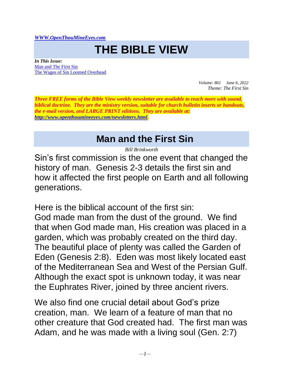*[WWW.OpenThouMineEyes.com](http://www.openthoumineeyes.com/)*

## **THE BIBLE VIEW**

*In This Issue:* [Man and The First Sin](#page-0-0) [The Wages of Sin Loomed Overhead](#page-5-0)

> *Volume: 861 June 6, 2022 Theme: The First Sin*

*Three FREE forms of the Bible View weekly newsletter are available to reach more with sound, biblical doctrine. They are the ministry version, suitable for church bulletin inserts or handouts, the e-mail version, and LARGE PRINT editions. They are available at: [http://www.openthoumineeyes.com/newsletters.html.](http://www.openthoumineeyes.com/newsletters.html)* 

## **Man and the First Sin**

*Bill Brinkworth*

<span id="page-0-0"></span>Sin's first commission is the one event that changed the history of man. Genesis 2-3 details the first sin and how it affected the first people on Earth and all following generations.

Here is the biblical account of the first sin: God made man from the dust of the ground. We find that when God made man, His creation was placed in a garden, which was probably created on the third day. The beautiful place of plenty was called the Garden of Eden (Genesis 2:8). Eden was most likely located east of the Mediterranean Sea and West of the Persian Gulf. Although the exact spot is unknown today, it was near the Euphrates River, joined by three ancient rivers.

We also find one crucial detail about God's prize creation, man. We learn of a feature of man that no other creature that God created had. The first man was Adam, and he was made with a living soul (Gen. 2:7)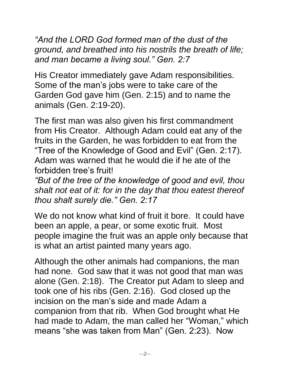*"And the LORD God formed man of the dust of the ground, and breathed into his nostrils the breath of life; and man became a living soul." Gen. 2:7*

His Creator immediately gave Adam responsibilities. Some of the man's jobs were to take care of the Garden God gave him (Gen. 2:15) and to name the animals (Gen. 2:19-20).

The first man was also given his first commandment from His Creator. Although Adam could eat any of the fruits in the Garden, he was forbidden to eat from the "Tree of the Knowledge of Good and Evil" (Gen. 2:17). Adam was warned that he would die if he ate of the forbidden tree's fruit!

*"But of the tree of the knowledge of good and evil, thou shalt not eat of it: for in the day that thou eatest thereof thou shalt surely die." Gen. 2:17*

We do not know what kind of fruit it bore. It could have been an apple, a pear, or some exotic fruit. Most people imagine the fruit was an apple only because that is what an artist painted many years ago.

Although the other animals had companions, the man had none. God saw that it was not good that man was alone (Gen. 2:18). The Creator put Adam to sleep and took one of his ribs (Gen. 2:16). God closed up the incision on the man's side and made Adam a companion from that rib. When God brought what He had made to Adam, the man called her "Woman," which means "she was taken from Man" (Gen. 2:23). Now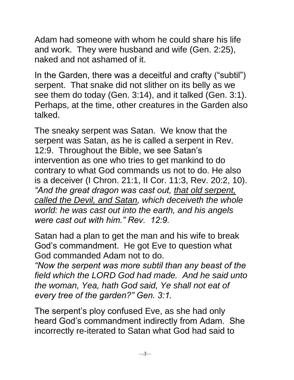Adam had someone with whom he could share his life and work. They were husband and wife (Gen. 2:25), naked and not ashamed of it.

In the Garden, there was a deceitful and crafty ("subtil") serpent. That snake did not slither on its belly as we see them do today (Gen. 3:14), and it talked (Gen. 3:1). Perhaps, at the time, other creatures in the Garden also talked.

The sneaky serpent was Satan. We know that the serpent was Satan, as he is called a serpent in Rev. 12:9. Throughout the Bible, we see Satan's intervention as one who tries to get mankind to do contrary to what God commands us not to do. He also is a deceiver (I Chron. 21:1, II Cor. 11:3, Rev. 20:2, 10). *"And the great dragon was cast out, that old serpent, called the Devil, and Satan, which deceiveth the whole world: he was cast out into the earth, and his angels were cast out with him." Rev. 12:9.*

Satan had a plan to get the man and his wife to break God's commandment. He got Eve to question what God commanded Adam not to do.

*"Now the serpent was more subtil than any beast of the field which the LORD God had made. And he said unto the woman, Yea, hath God said, Ye shall not eat of every tree of the garden?" Gen. 3:1.* 

The serpent's ploy confused Eve, as she had only heard God's commandment indirectly from Adam. She incorrectly re-iterated to Satan what God had said to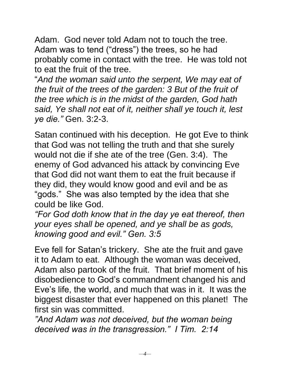Adam. God never told Adam not to touch the tree. Adam was to tend ("dress") the trees, so he had probably come in contact with the tree. He was told not to eat the fruit of the tree.

"*And the woman said unto the serpent, We may eat of the fruit of the trees of the garden: 3 But of the fruit of the tree which is in the midst of the garden, God hath said, Ye shall not eat of it, neither shall ye touch it, lest ye die."* Gen. 3:2-3.

Satan continued with his deception. He got Eve to think that God was not telling the truth and that she surely would not die if she ate of the tree (Gen. 3:4). The enemy of God advanced his attack by convincing Eve that God did not want them to eat the fruit because if they did, they would know good and evil and be as "gods." She was also tempted by the idea that she could be like God.

*"For God doth know that in the day ye eat thereof, then your eyes shall be opened, and ye shall be as gods, knowing good and evil." Gen. 3:5* 

Eve fell for Satan's trickery. She ate the fruit and gave it to Adam to eat. Although the woman was deceived, Adam also partook of the fruit. That brief moment of his disobedience to God's commandment changed his and Eve's life, the world, and much that was in it. It was the biggest disaster that ever happened on this planet! The first sin was committed.

*"And Adam was not deceived, but the woman being deceived was in the transgression." I Tim. 2:14*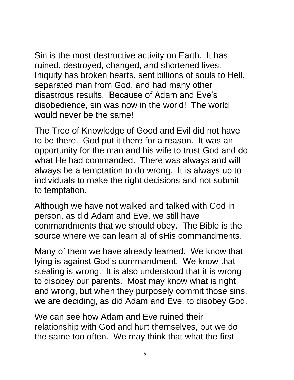Sin is the most destructive activity on Earth. It has ruined, destroyed, changed, and shortened lives. Iniquity has broken hearts, sent billions of souls to Hell, separated man from God, and had many other disastrous results. Because of Adam and Eve's disobedience, sin was now in the world! The world would never be the same!

The Tree of Knowledge of Good and Evil did not have to be there. God put it there for a reason. It was an opportunity for the man and his wife to trust God and do what He had commanded. There was always and will always be a temptation to do wrong. It is always up to individuals to make the right decisions and not submit to temptation.

Although we have not walked and talked with God in person, as did Adam and Eve, we still have commandments that we should obey. The Bible is the source where we can learn al of sHis commandments.

Many of them we have already learned. We know that lying is against God's commandment. We know that stealing is wrong. It is also understood that it is wrong to disobey our parents. Most may know what is right and wrong, but when they purposely commit those sins, we are deciding, as did Adam and Eve, to disobey God.

We can see how Adam and Eve ruined their relationship with God and hurt themselves, but we do the same too often. We may think that what the first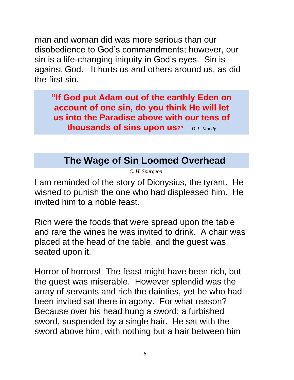man and woman did was more serious than our disobedience to God's commandments; however, our sin is a life-changing iniquity in God's eyes. Sin is against God. It hurts us and others around us, as did the first sin.

**"If God put Adam out of the earthly Eden on account of one sin, do you think He will let us into the Paradise above with our tens of thousands of sins upon us?"** *— D. L. Moody*

## **The Wage of Sin Loomed Overhead**

*C. H. Spurgeon*

<span id="page-5-0"></span>I am reminded of the story of Dionysius, the tyrant. He wished to punish the one who had displeased him. He invited him to a noble feast.

Rich were the foods that were spread upon the table and rare the wines he was invited to drink. A chair was placed at the head of the table, and the guest was seated upon it.

Horror of horrors! The feast might have been rich, but the guest was miserable. However splendid was the array of servants and rich the dainties, yet he who had been invited sat there in agony. For what reason? Because over his head hung a sword; a furbished sword, suspended by a single hair. He sat with the sword above him, with nothing but a hair between him